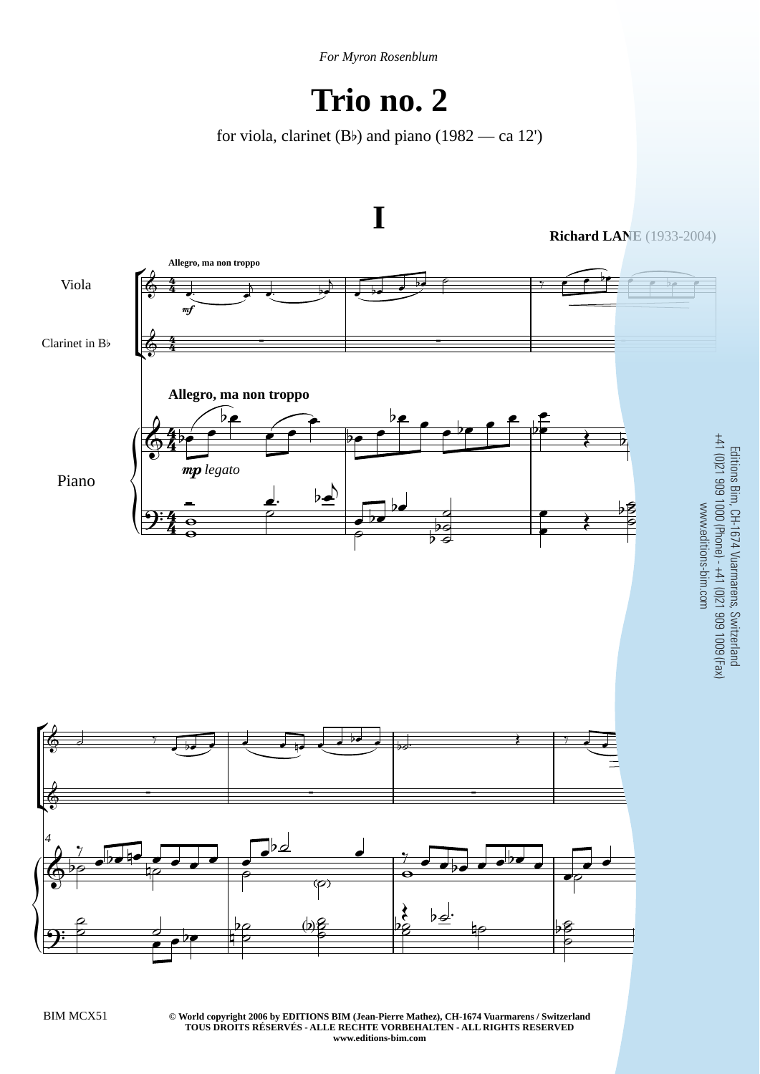*For Myron Rosenblum*

## **Trio no. 2**

for viola, clarinet (Bb) and piano (1982 — ca 12')



**© World copyright 2006 by EDITIONS BIM (Jean-Pierre Mathez), CH-1674 Vuarmarens / Switzerland** BIM MCX51 3 **TOUS DROITS RÉSERVÉS - ALLE RECHTE VORBEHALTEN - ALL RIGHTS RESERVED www.editions-bim.com**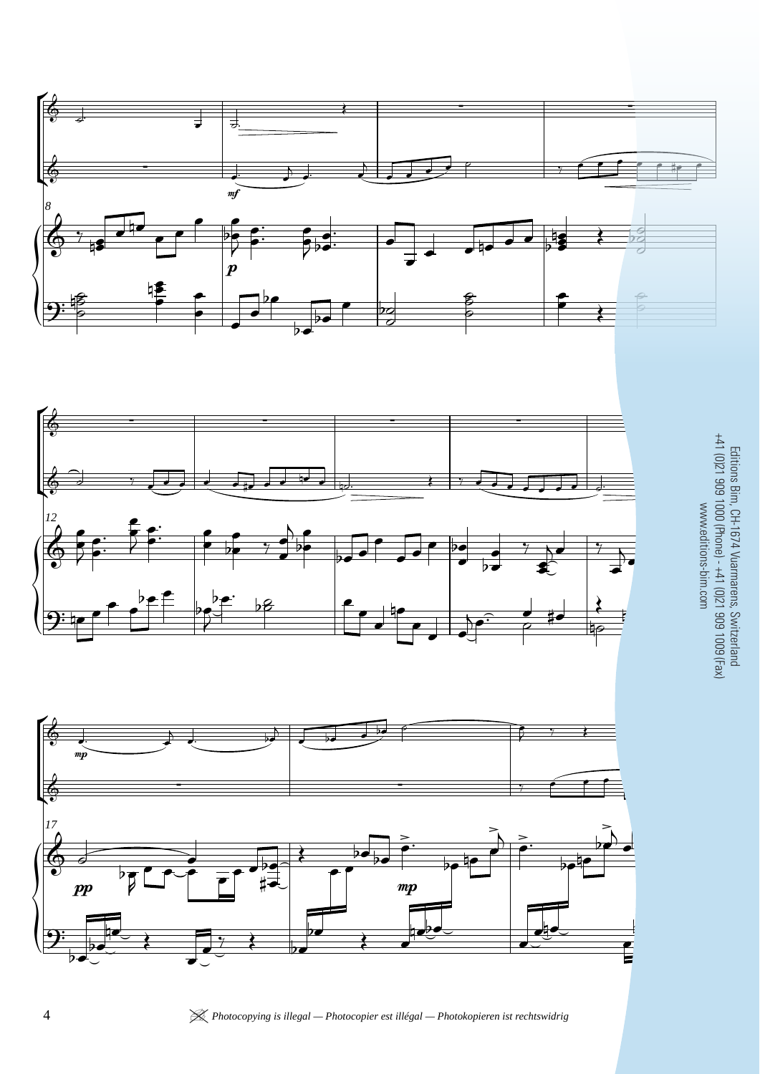





Editions Bim, CH-1674 Vuarmarens, Switzerland<br>+41 (0)21 909 1000 (Phone) - +41 (0)21 909 1009 (Fax)<br>www.editions-bim.com Editions Bim, CH-1674 Vuarmarens, Switzerland +41 (0)21 909 1000 (Phone) - +41 (0)21 909 1009 (Fax) www.editions-bim.com

4 | *Photocopying is illegal — Photocopier est illégal — Photokopieren ist rechtswidrig* BIM MCX51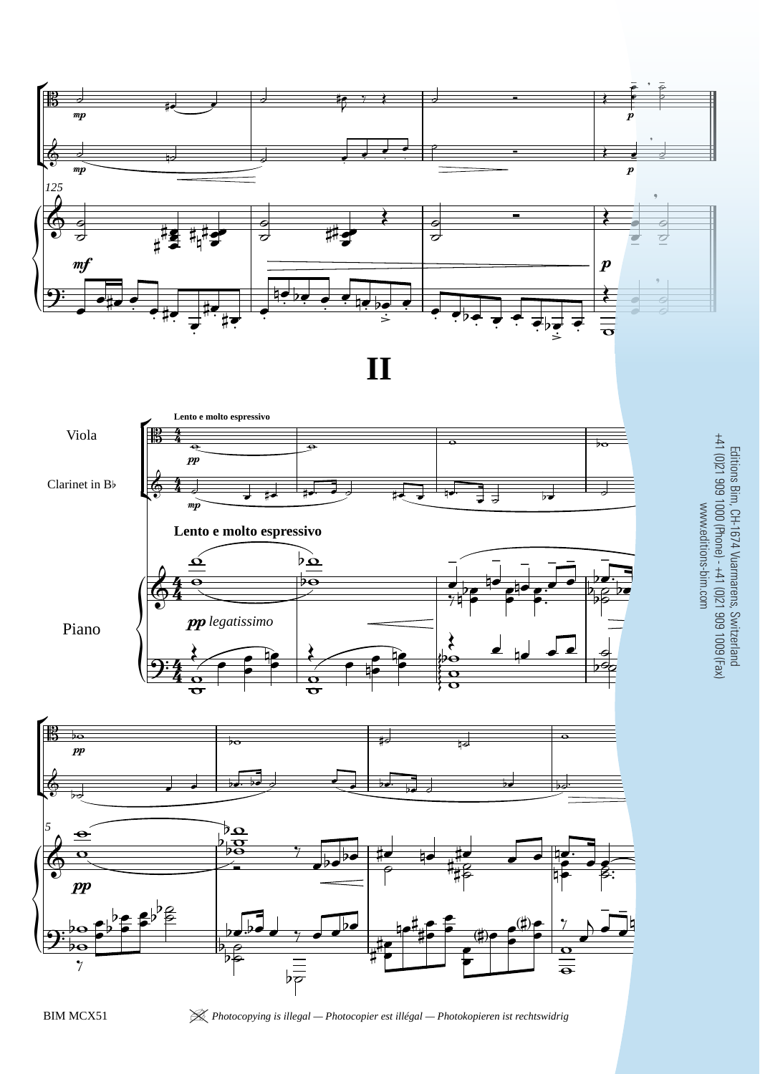



BIM MCX51 | *Photocopying is illegal — Photocopier est illégal — Photokopieren ist rechtswidrig* 15

Editions Bim, CH-1674 Vuarmarens, Switzerland +41 (0)21 909 1000 (Phone) - +41 (0)21 909 1009 (Fax)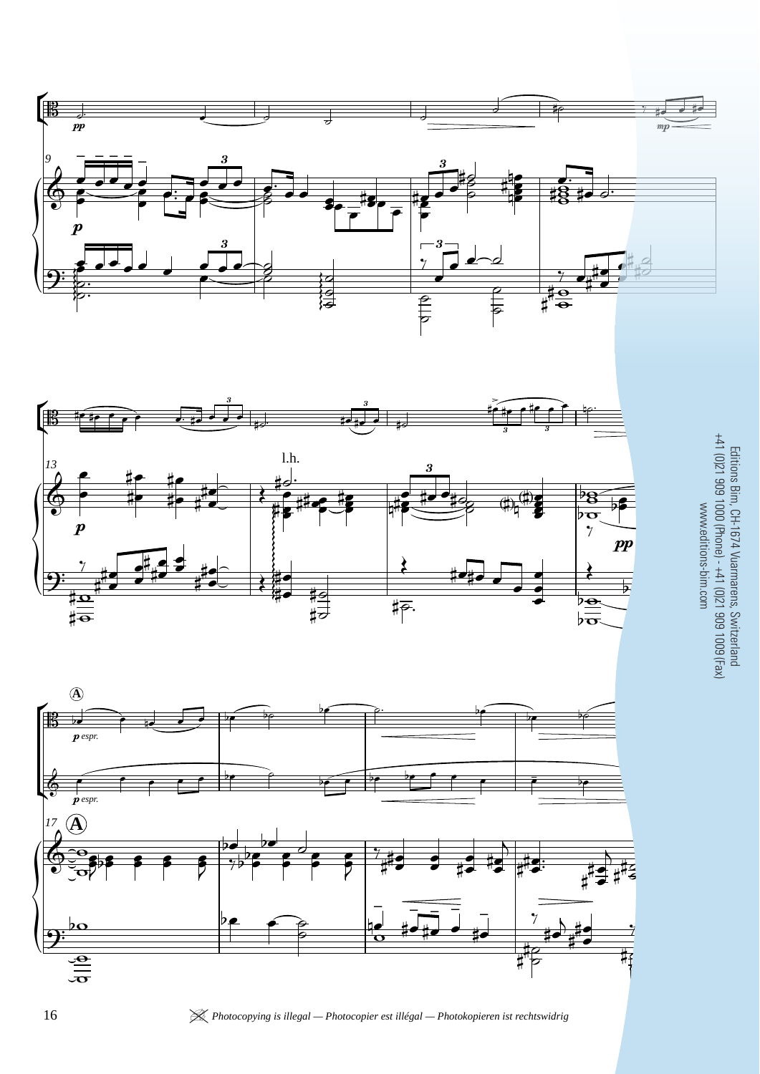





 $\frac{1}{2}$  $\frac{1}{2}$ Editions Bim, CH-1674 Vuarmarens, Switzerland +41 (0)21 909 1000 (Phone) - +41 (0)21 909 1009 (Fax) www.editions-bim.com

16 *K Photocopying is illegal — Photocopier est illégal — Photokopieren ist rechtswidrig*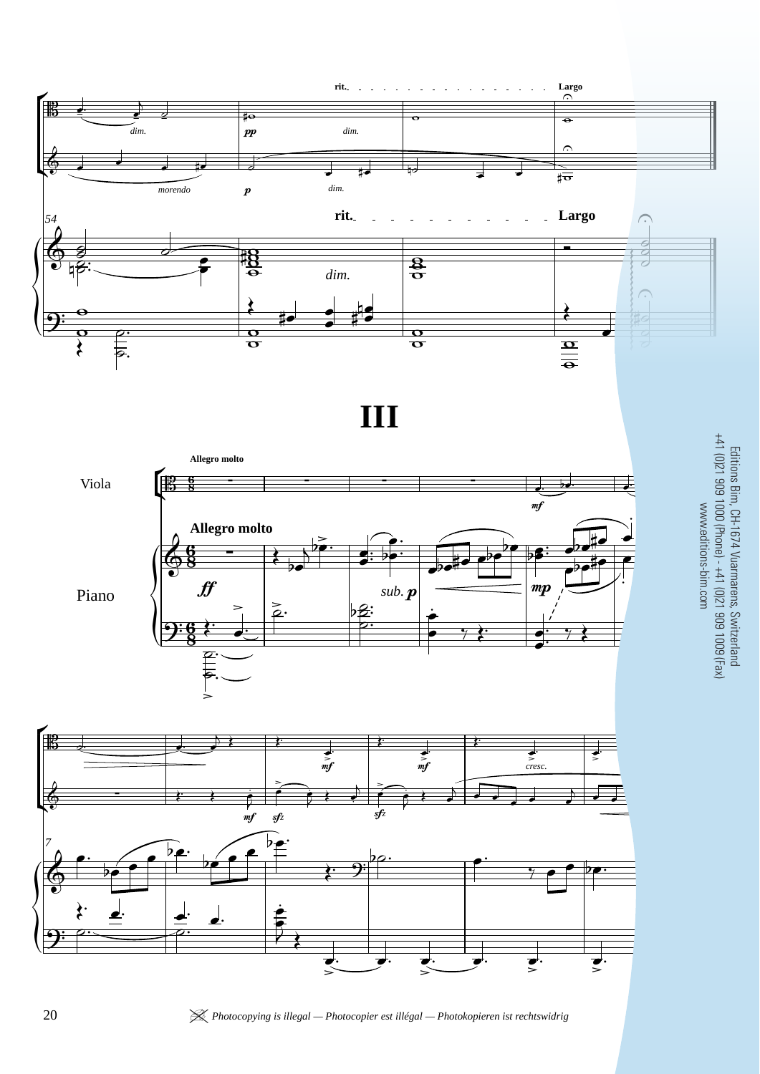

**III**





edition<br>edition Editions Bim, CH-1674 Vuarmarens, Switzerland +41 (0)21 909 1000 (Phone) - +41 (0)21 909 1009 (Fax) www.editions-bim.com